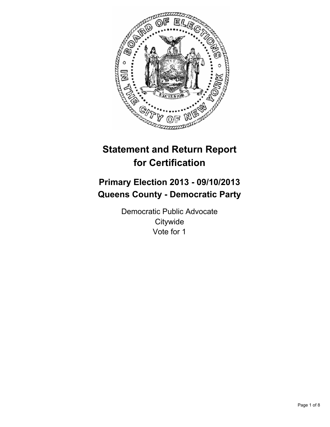

# **Statement and Return Report for Certification**

# **Primary Election 2013 - 09/10/2013 Queens County - Democratic Party**

Democratic Public Advocate **Citywide** Vote for 1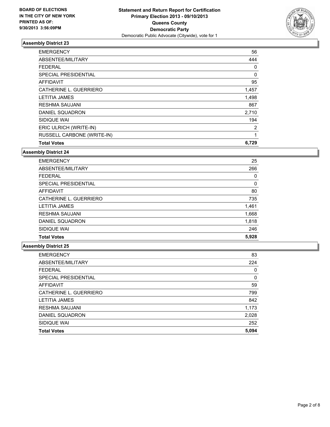

| <b>EMERGENCY</b>            | 56    |
|-----------------------------|-------|
| ABSENTEE/MILITARY           | 444   |
| <b>FEDERAL</b>              | 0     |
| <b>SPECIAL PRESIDENTIAL</b> | 0     |
| <b>AFFIDAVIT</b>            | 95    |
| CATHERINE L. GUERRIERO      | 1,457 |
| <b>LETITIA JAMES</b>        | 1,498 |
| <b>RESHMA SAUJANI</b>       | 867   |
| DANIEL SQUADRON             | 2,710 |
| SIDIQUE WAI                 | 194   |
| ERIC ULRICH (WRITE-IN)      | 2     |
| RUSSELL CARBONE (WRITE-IN)  | 1     |
| <b>Total Votes</b>          | 6,729 |

# **Assembly District 24**

| <b>EMERGENCY</b>       | 25    |
|------------------------|-------|
| ABSENTEE/MILITARY      | 266   |
| <b>FEDERAL</b>         | 0     |
| SPECIAL PRESIDENTIAL   | 0     |
| AFFIDAVIT              | 80    |
| CATHERINE L. GUERRIERO | 735   |
| <b>LETITIA JAMES</b>   | 1,461 |
| <b>RESHMA SAUJANI</b>  | 1,668 |
| DANIEL SQUADRON        | 1,818 |
| SIDIQUE WAI            | 246   |
| <b>Total Votes</b>     | 5,928 |

| <b>EMERGENCY</b>       | 83           |
|------------------------|--------------|
| ABSENTEE/MILITARY      | 224          |
| <b>FEDERAL</b>         | 0            |
| SPECIAL PRESIDENTIAL   | $\mathbf{0}$ |
| AFFIDAVIT              | 59           |
| CATHERINE L. GUERRIERO | 799          |
| <b>LETITIA JAMES</b>   | 842          |
| <b>RESHMA SAUJANI</b>  | 1,173        |
| DANIEL SQUADRON        | 2,028        |
| SIDIQUE WAI            | 252          |
| <b>Total Votes</b>     | 5,094        |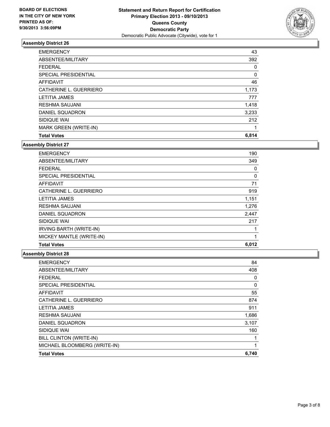

| <b>EMERGENCY</b>             | 43    |
|------------------------------|-------|
| ABSENTEE/MILITARY            | 392   |
| <b>FEDERAL</b>               | 0     |
| <b>SPECIAL PRESIDENTIAL</b>  | 0     |
| <b>AFFIDAVIT</b>             | 46    |
| CATHERINE L. GUERRIERO       | 1,173 |
| <b>LETITIA JAMES</b>         | 777   |
| <b>RESHMA SAUJANI</b>        | 1,418 |
| DANIEL SQUADRON              | 3,233 |
| SIDIQUE WAI                  | 212   |
| <b>MARK GREEN (WRITE-IN)</b> | 1     |
| <b>Total Votes</b>           | 6,814 |

**Assembly District 27**

| <b>EMERGENCY</b>               | 190   |
|--------------------------------|-------|
| ABSENTEE/MILITARY              | 349   |
| <b>FEDERAL</b>                 | 0     |
| <b>SPECIAL PRESIDENTIAL</b>    | 0     |
| <b>AFFIDAVIT</b>               | 71    |
| CATHERINE L. GUERRIERO         | 919   |
| LETITIA JAMES                  | 1,151 |
| <b>RESHMA SAUJANI</b>          | 1,276 |
| DANIEL SQUADRON                | 2,447 |
| SIDIQUE WAI                    | 217   |
| <b>IRVING BARTH (WRITE-IN)</b> |       |
| MICKEY MANTLE (WRITE-IN)       | 1     |
| <b>Total Votes</b>             | 6,012 |

| <b>EMERGENCY</b>             | 84    |
|------------------------------|-------|
| ABSENTEE/MILITARY            | 408   |
| <b>FEDERAL</b>               | 0     |
| <b>SPECIAL PRESIDENTIAL</b>  | 0     |
| <b>AFFIDAVIT</b>             | 55    |
| CATHERINE L. GUERRIERO       | 874   |
| <b>LETITIA JAMES</b>         | 911   |
| <b>RESHMA SAUJANI</b>        | 1,686 |
| DANIEL SQUADRON              | 3,107 |
| SIDIQUE WAI                  | 160   |
| BILL CLINTON (WRITE-IN)      | 1     |
| MICHAEL BLOOMBERG (WRITE-IN) | 1     |
| <b>Total Votes</b>           | 6,740 |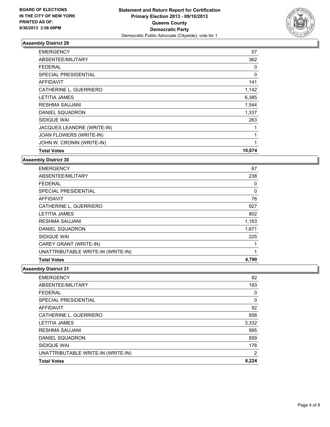

| <b>EMERGENCY</b>            | 57       |
|-----------------------------|----------|
| ABSENTEE/MILITARY           | 362      |
| FEDERAL                     | 0        |
| <b>SPECIAL PRESIDENTIAL</b> | $\Omega$ |
| <b>AFFIDAVIT</b>            | 141      |
| CATHERINE L. GUERRIERO      | 1,142    |
| <b>LETITIA JAMES</b>        | 6,385    |
| <b>RESHMA SAUJANI</b>       | 1,544    |
| DANIEL SQUADRON             | 1,337    |
| SIDIQUE WAI                 | 263      |
| JACQUES LEANDRE (WRITE-IN)  |          |
| JOAN FLOWERS (WRITE-IN)     |          |
| JOHN W. CRONIN (WRITE-IN)   | 1        |
| <b>Total Votes</b>          | 10,674   |

**Assembly District 30**

| <b>EMERGENCY</b>                   | 67    |
|------------------------------------|-------|
| ABSENTEE/MILITARY                  | 238   |
| <b>FEDERAL</b>                     | 0     |
| SPECIAL PRESIDENTIAL               | 0     |
| <b>AFFIDAVIT</b>                   | 76    |
| CATHERINE L. GUERRIERO             | 927   |
| <b>LETITIA JAMES</b>               | 802   |
| <b>RESHMA SAUJANI</b>              | 1,163 |
| DANIEL SQUADRON                    | 1,671 |
| SIDIQUE WAI                        | 225   |
| CAREY GRANT (WRITE-IN)             |       |
| UNATTRIBUTABLE WRITE-IN (WRITE-IN) | 1     |
| <b>Total Votes</b>                 | 4.790 |

| <b>EMERGENCY</b>                   | 82             |
|------------------------------------|----------------|
| ABSENTEE/MILITARY                  | 193            |
| <b>FEDERAL</b>                     | 0              |
| SPECIAL PRESIDENTIAL               | 0              |
| AFFIDAVIT                          | 92             |
| CATHERINE L. GUERRIERO             | 858            |
| <b>LETITIA JAMES</b>               | 3,332          |
| <b>RESHMA SAUJANI</b>              | 995            |
| DANIEL SQUADRON                    | 859            |
| SIDIQUE WAI                        | 178            |
| UNATTRIBUTABLE WRITE-IN (WRITE-IN) | $\overline{2}$ |
| <b>Total Votes</b>                 | 6,224          |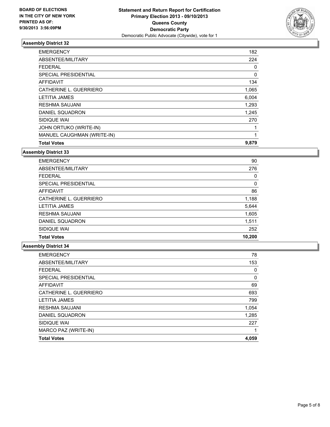

| <b>EMERGENCY</b>            | 182   |
|-----------------------------|-------|
| ABSENTEE/MILITARY           | 224   |
| <b>FEDERAL</b>              | 0     |
| <b>SPECIAL PRESIDENTIAL</b> | 0     |
| <b>AFFIDAVIT</b>            | 134   |
| CATHERINE L. GUERRIERO      | 1,065 |
| <b>LETITIA JAMES</b>        | 6,004 |
| <b>RESHMA SAUJANI</b>       | 1,293 |
| DANIEL SQUADRON             | 1,245 |
| SIDIQUE WAI                 | 270   |
| JOHN ORTUKO (WRITE-IN)      | 1     |
| MANUEL CAUGHMAN (WRITE-IN)  | 1     |
| <b>Total Votes</b>          | 9,879 |

# **Assembly District 33**

| <b>EMERGENCY</b>       | 90     |
|------------------------|--------|
| ABSENTEE/MILITARY      | 276    |
| <b>FEDERAL</b>         | 0      |
| SPECIAL PRESIDENTIAL   | 0      |
| AFFIDAVIT              | 86     |
| CATHERINE L. GUERRIERO | 1,188  |
| <b>LETITIA JAMES</b>   | 5,644  |
| RESHMA SAUJANI         | 1,605  |
| DANIEL SQUADRON        | 1,511  |
| SIDIQUE WAI            | 252    |
| <b>Total Votes</b>     | 10,200 |

| <b>EMERGENCY</b>       | 78    |
|------------------------|-------|
| ABSENTEE/MILITARY      | 153   |
| <b>FEDERAL</b>         | 0     |
| SPECIAL PRESIDENTIAL   | 0     |
| AFFIDAVIT              | 69    |
| CATHERINE L. GUERRIERO | 693   |
| <b>LETITIA JAMES</b>   | 799   |
| <b>RESHMA SAUJANI</b>  | 1,054 |
| DANIEL SQUADRON        | 1,285 |
| SIDIQUE WAI            | 227   |
| MARCO PAZ (WRITE-IN)   |       |
| <b>Total Votes</b>     | 4,059 |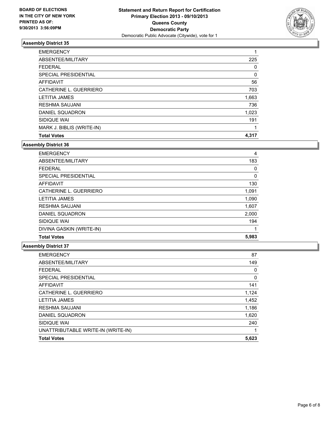

| <b>EMERGENCY</b>          |       |
|---------------------------|-------|
| ABSENTEE/MILITARY         | 225   |
| <b>FEDERAL</b>            | 0     |
| SPECIAL PRESIDENTIAL      | 0     |
| <b>AFFIDAVIT</b>          | 56    |
| CATHERINE L. GUERRIERO    | 703   |
| <b>LETITIA JAMES</b>      | 1,663 |
| <b>RESHMA SAUJANI</b>     | 736   |
| DANIEL SQUADRON           | 1,023 |
| SIDIQUE WAI               | 191   |
| MARK J. BIBLIS (WRITE-IN) |       |
| <b>Total Votes</b>        | 4,317 |

#### **Assembly District 36**

| <b>EMERGENCY</b>         | 4     |
|--------------------------|-------|
| ABSENTEE/MILITARY        | 183   |
| <b>FEDERAL</b>           | 0     |
| SPECIAL PRESIDENTIAL     | 0     |
| AFFIDAVIT                | 130   |
| CATHERINE L. GUERRIERO   | 1,091 |
| <b>LETITIA JAMES</b>     | 1,090 |
| <b>RESHMA SAUJANI</b>    | 1,607 |
| DANIEL SQUADRON          | 2,000 |
| SIDIQUE WAI              | 194   |
| DIVINA GASKIN (WRITE-IN) | 1     |
| <b>Total Votes</b>       | 5,983 |

| <b>EMERGENCY</b>                   | 87    |
|------------------------------------|-------|
| ABSENTEE/MILITARY                  | 149   |
| <b>FEDERAL</b>                     | 0     |
| <b>SPECIAL PRESIDENTIAL</b>        | 0     |
| <b>AFFIDAVIT</b>                   | 141   |
| CATHERINE L. GUERRIERO             | 1,124 |
| <b>LETITIA JAMES</b>               | 1,452 |
| <b>RESHMA SAUJANI</b>              | 1,186 |
| DANIEL SQUADRON                    | 1,620 |
| SIDIQUE WAI                        | 240   |
| UNATTRIBUTABLE WRITE-IN (WRITE-IN) |       |
| <b>Total Votes</b>                 | 5,623 |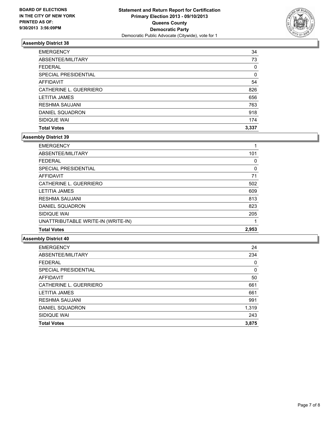

| <b>EMERGENCY</b>       | 34       |
|------------------------|----------|
| ABSENTEE/MILITARY      | 73       |
| <b>FEDERAL</b>         | 0        |
| SPECIAL PRESIDENTIAL   | $\Omega$ |
| AFFIDAVIT              | 54       |
| CATHERINE L. GUERRIERO | 826      |
| <b>LETITIA JAMES</b>   | 656      |
| <b>RESHMA SAUJANI</b>  | 763      |
| DANIEL SQUADRON        | 918      |
| SIDIQUE WAI            | 174      |
| <b>Total Votes</b>     | 3,337    |

### **Assembly District 39**

| <b>EMERGENCY</b>                   |       |
|------------------------------------|-------|
| ABSENTEE/MILITARY                  | 101   |
| <b>FEDERAL</b>                     | 0     |
| SPECIAL PRESIDENTIAL               | 0     |
| <b>AFFIDAVIT</b>                   | 71    |
| CATHERINE L. GUERRIERO             | 502   |
| <b>LETITIA JAMES</b>               | 609   |
| <b>RESHMA SAUJANI</b>              | 813   |
| DANIEL SQUADRON                    | 823   |
| SIDIQUE WAI                        | 205   |
| UNATTRIBUTABLE WRITE-IN (WRITE-IN) |       |
| <b>Total Votes</b>                 | 2,953 |

| 24       |
|----------|
| 234      |
| $\Omega$ |
| 0        |
| 50       |
| 661      |
| 661      |
| 991      |
| 1,319    |
| 243      |
| 3,875    |
|          |